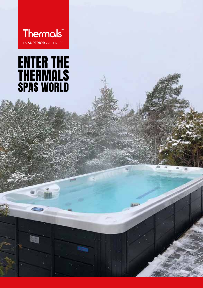**Thermals** By SUPERIOR WELLNESS

# **ENTER THE<br>THERMALS<br>SPAS WORLD**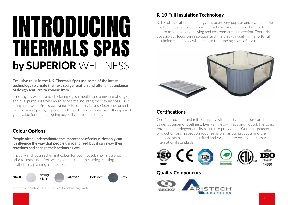## INTRODUCING THERMALS SPAS by SUPERIOR WELLNESS

**Exclusive to us in the UK. Thermals Spas use some of the latest technology to create the next spa generation and offer an abundance of design features to choose from.** 

The range is well-balanced offering stylish moulds and a mixture of single and dual pump spas with an array of sizes including three swim spas. Built using a corrosion-free steel frame, Aristech acrylic, and Gecko equipment the Thermals Spas by Superior Wellness deliver fantastic hydrotherapy and great value for money – going beyond your expectations.

#### Colour Options

**People often underestimate the importance of colour. Not only can it influence the way that people think and feel, but it can sway their reactions and change their actions as well.**

That's why choosing the right colour for your hot tub shell is essential prior to installation. You want your spa to be as calming, relaxing, and aesthetically pleasing as possible.



Above colours applicable to the Space and Gemstone ranges only.

#### R-10 Full Insulation Technology

R-10 full insulation technology has been very popular and mature in the hot tub industry. Its purpose is to reduce the running cost of hot tubs and to achieve energy-saving and environmental protection. Thermals Spas always focus on innovation and the breakthrough in the R-10 full insulation technology will decrease the running costs of hot tubs.



#### **Certifications**

Certified routines and reliable quality with quality one of our core brand values at Superior Wellness. Every single swim spa and hot tub has to go through our stringent quality assurance procedures. Our management, production, and inspection routines as well as our products and their components have been certified and evaluated to exceed numerous international standards.



#### Quality Components

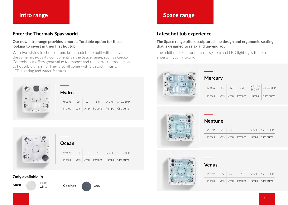#### Enter the Thermals Spas world

#### **Our new Intro range provides a more affordable option for those looking to invest in their first hot tub.**

With two styles to choose from, both models are built with many of the same high-quality components as the Space range, such as Gecko Controls, but offers great value for money and the perfect introduction to hot tub ownership. They also all come with Bluetooth music, LED Lighting and water features.



| <b>Hydro</b>         |  |  |       |  |                                                                           |  |
|----------------------|--|--|-------|--|---------------------------------------------------------------------------|--|
| $79 \times 79$ 25 13 |  |  | $5-6$ |  | $1x$ 3HP $1x$ 0.35HP                                                      |  |
|                      |  |  |       |  | $Inches$ Jets $\vert$ Amp $\vert$ Persons $\vert$ Pumps $\vert$ Circ pump |  |



| Ocean                        |  |  |  |  |                                                   |  |  |
|------------------------------|--|--|--|--|---------------------------------------------------|--|--|
| $79 \times 79$   24   13   5 |  |  |  |  | $1x$ 3HP $1x$ 0.35HP                              |  |  |
|                              |  |  |  |  | Inches   Jets   Amp   Persons   Pumps   Circ pump |  |  |

#### Only available in

**Shell** Pure white







#### Intro range and the set of the set of the set of the Space range

#### Latest hot tub experience

#### **The Space range offers sculptured line design and ergonomic seating that is designed to relax and unwind you.**

The additional Bluetooth music system and LED lighting is there to entertain you in luxury.



| <b>Mercury</b> |  |
|----------------|--|
|----------------|--|

| $87 \times 67$ | -51  | 32    | $2 - 3$ | $1x 2HP +$<br>$1x$ $3HP$ | 1x 0.35HP |
|----------------|------|-------|---------|--------------------------|-----------|
| Inches         | Jets | Amp I | Persons | Pumps                    | Circ pump |



#### Neptune

| $91 \times 91$ | $\vert$ 71 | -32 | 5. | 2x 3HP   1x 0.35HP                       |
|----------------|------------|-----|----|------------------------------------------|
| Inches         |            |     |    | Jets   Amp   Persons   Pumps   Circ pump |



#### Venus

| $91 \times 91$ | 75 32 | 6. | $2x$ 3HP $\mid$ 1x 0.35HP                |
|----------------|-------|----|------------------------------------------|
| Inches         |       |    | Jets   Amp   Persons   Pumps   Circ pump |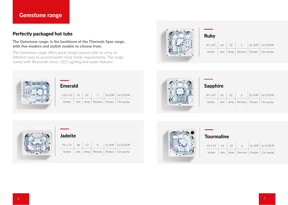#### Gemstone range

#### Perfectly packaged hot tubs

**The Gemstone range, is the backbone of the Thermals Spas range, with five modern and stylish models to choose from.** 

The Gemstone range offers great design layouts with an array of different sizes to accommodate most family requirements. The range comes with Bluetooth music, LED Lighting and water features.



#### Ruby

| $87 \times 87$ | 66 32 | $-5$ | $2x$ 3HP $\vert$ 1x 0.35HP               |
|----------------|-------|------|------------------------------------------|
| Inches         |       |      | Jets   Amp   Persons   Pumps   Circ pump |



| <b>Emerald</b>        |  |  |                |  |                                          |  |
|-----------------------|--|--|----------------|--|------------------------------------------|--|
| $110 \times 91$ 76 32 |  |  | 7 <sup>7</sup> |  | $3x 2HP$   1x 0.35HP                     |  |
| Inches                |  |  |                |  | Jets   Amp   Persons   Pumps   Circ pump |  |



#### Sapphire

| $87 \times 87$ | 61 | - 32 | 6 | $2x$ 3HP $\vert$ 1x 0.35HP               |
|----------------|----|------|---|------------------------------------------|
| Inches         |    |      |   | Jets   Amp   Persons   Pumps   Circ pump |



#### Jadeite

| $91 \times 75$ 38 | 13 | $\overline{4}$ | $1x$ 3HP $\vert$ 1x 0.35HP               |
|-------------------|----|----------------|------------------------------------------|
| Inches            |    |                | Jets   Amp   Persons   Pumps   Circ pump |



#### **Tourmaline**

| $91 \times 91$ 61 | -32 | 6 | 2x 3HP   1x 0.35HP                       |
|-------------------|-----|---|------------------------------------------|
| Inches            |     |   | Jets   Amp   Persons   Pumps   Circ pump |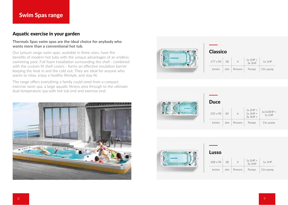#### Aquatic exercise in your garden

#### **Thermals Spas swim spas are the ideal choice for anybody who wants more than a conventional hot tub.**

Our Leisure range swim spas, available in three sizes, have the benefits of modern hot tubs with the unique advantages of an endless swimming pool. Full foam installation surrounding the shell - combined with the custom fit shell covers - forms an effective insulation barrier keeping the heat in and the cold out. They are ideal for anyone who wants to relax, enjoy a healthy lifestyle, and stay fit.

The range offers everything a family could need from a compact exercise swim spa, a large aquatic fitness area through to the ultimate dual temperature spa with hot tub end and exercise end.





#### Classico

| $177 \times 90$ | 38   |         | $1x 2HP +$<br>3x3HP | $1x$ 1HP  |
|-----------------|------|---------|---------------------|-----------|
| Inches          | lets | Persons | Pumps               | Circ pump |



#### Duce  $235 \times 90$  83 1x 2HP +  $1x$  3HP + 3x 3HP + 1x 0.35HP + 1x 1HP Inches Jets Persons Pumps Circ pump



#### Lusso

| $208 \times 90$ | 38   |         | $1x$ 2HP +<br>$3x$ $3HP$ | $1x$ 1HP  |
|-----------------|------|---------|--------------------------|-----------|
| Inches          | Jets | Persons | Pumps                    | Circ pump |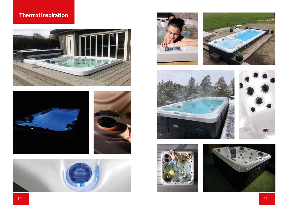### Thermal Inspiration